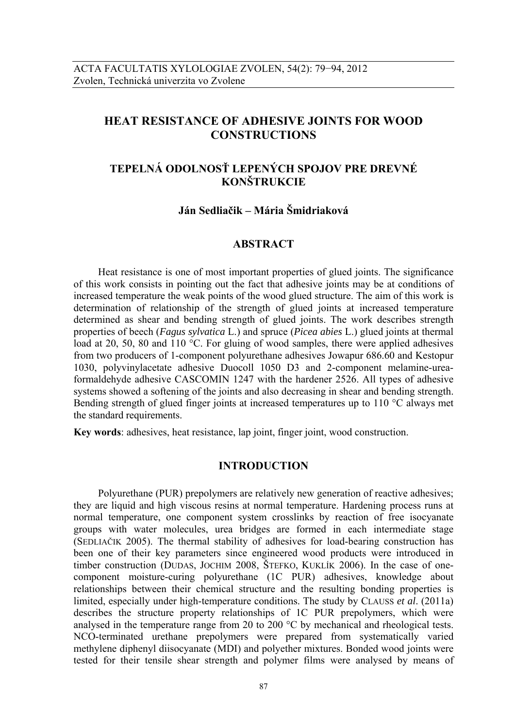# **HEAT RESISTANCE OF ADHESIVE JOINTS FOR WOOD CONSTRUCTIONS**

# **TEPELNÁ ODOLNOSŤ LEPENÝCH SPOJOV PRE DREVNÉ KONŠTRUKCIE**

# **Ján Sedliačik – Mária Šmidriaková**

## **ABSTRACT**

Heat resistance is one of most important properties of glued joints. The significance of this work consists in pointing out the fact that adhesive joints may be at conditions of increased temperature the weak points of the wood glued structure. The aim of this work is determination of relationship of the strength of glued joints at increased temperature determined as shear and bending strength of glued joints. The work describes strength properties of beech (*Fagus sylvatica* L.) and spruce (*Picea abies* L.) glued joints at thermal load at 20, 50, 80 and 110 °C. For gluing of wood samples, there were applied adhesives from two producers of 1-component polyurethane adhesives Jowapur 686.60 and Kestopur 1030, polyvinylacetate adhesive Duocoll 1050 D3 and 2-component melamine-ureaformaldehyde adhesive CASCOMIN 1247 with the hardener 2526. All types of adhesive systems showed a softening of the joints and also decreasing in shear and bending strength. Bending strength of glued finger joints at increased temperatures up to 110 °C always met the standard requirements.

**Key words**: adhesives, heat resistance, lap joint, finger joint, wood construction.

### **INTRODUCTION**

Polyurethane (PUR) prepolymers are relatively new generation of reactive adhesives; they are liquid and high viscous resins at normal temperature. Hardening process runs at normal temperature, one component system crosslinks by reaction of free isocyanate groups with water molecules, urea bridges are formed in each intermediate stage (SEDLIAČIK 2005). The thermal stability of adhesives for load-bearing construction has been one of their key parameters since engineered wood products were introduced in timber construction (DUDAS, JOCHIM 2008, ŠTEFKO, KUKLÍK 2006). In the case of onecomponent moisture-curing polyurethane (1C PUR) adhesives, knowledge about relationships between their chemical structure and the resulting bonding properties is limited, especially under high-temperature conditions. The study by CLAUSS *et al*. (2011a) describes the structure property relationships of 1C PUR prepolymers, which were analysed in the temperature range from 20 to 200 °C by mechanical and rheological tests. NCO-terminated urethane prepolymers were prepared from systematically varied methylene diphenyl diisocyanate (MDI) and polyether mixtures. Bonded wood joints were tested for their tensile shear strength and polymer films were analysed by means of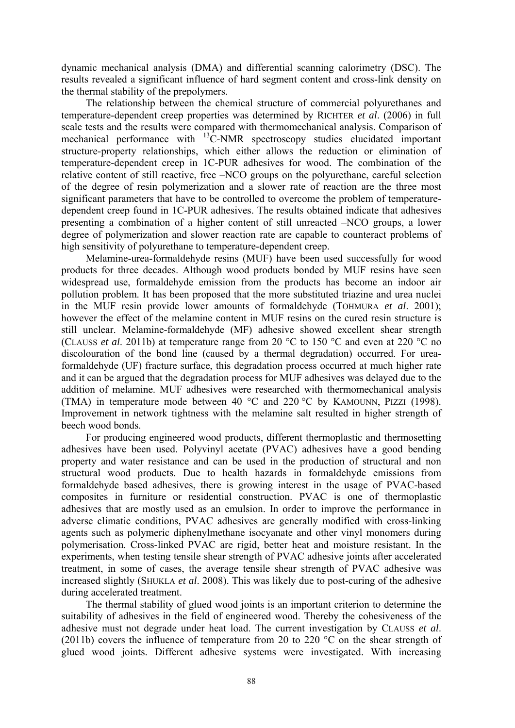dynamic mechanical analysis (DMA) and differential scanning calorimetry (DSC). The results revealed a significant influence of hard segment content and cross-link density on the thermal stability of the prepolymers.

The relationship between the chemical structure of commercial polyurethanes and temperature-dependent creep properties was determined by RICHTER *et al*. (2006) in full scale tests and the results were compared with thermomechanical analysis. Comparison of mechanical performance with 13C-NMR spectroscopy studies elucidated important structure-property relationships, which either allows the reduction or elimination of temperature-dependent creep in 1C-PUR adhesives for wood. The combination of the relative content of still reactive, free –NCO groups on the polyurethane, careful selection of the degree of resin polymerization and a slower rate of reaction are the three most significant parameters that have to be controlled to overcome the problem of temperaturedependent creep found in 1C-PUR adhesives. The results obtained indicate that adhesives presenting a combination of a higher content of still unreacted –NCO groups, a lower degree of polymerization and slower reaction rate are capable to counteract problems of high sensitivity of polyurethane to temperature-dependent creep.

Melamine-urea-formaldehyde resins (MUF) have been used successfully for wood products for three decades. Although wood products bonded by MUF resins have seen widespread use, formaldehyde emission from the products has become an indoor air pollution problem. It has been proposed that the more substituted triazine and urea nuclei in the MUF resin provide lower amounts of formaldehyde (TOHMURA *et al*. 2001); however the effect of the melamine content in MUF resins on the cured resin structure is still unclear. Melamine-formaldehyde (MF) adhesive showed excellent shear strength (CLAUSS *et al*. 2011b) at temperature range from 20 °C to 150 °C and even at 220 °C no discolouration of the bond line (caused by a thermal degradation) occurred. For ureaformaldehyde (UF) fracture surface, this degradation process occurred at much higher rate and it can be argued that the degradation process for MUF adhesives was delayed due to the addition of melamine. MUF adhesives were researched with thermomechanical analysis (TMA) in temperature mode between 40 °C and 220 °C by KAMOUNN, PIZZI (1998). Improvement in network tightness with the melamine salt resulted in higher strength of beech wood bonds.

For producing engineered wood products, different thermoplastic and thermosetting adhesives have been used. Polyvinyl acetate (PVAC) adhesives have a good bending property and water resistance and can be used in the production of structural and non structural wood products. Due to health hazards in formaldehyde emissions from formaldehyde based adhesives, there is growing interest in the usage of PVAC-based composites in furniture or residential construction. PVAC is one of thermoplastic adhesives that are mostly used as an emulsion. In order to improve the performance in adverse climatic conditions, PVAC adhesives are generally modified with cross-linking agents such as polymeric diphenylmethane isocyanate and other vinyl monomers during polymerisation. Cross-linked PVAC are rigid, better heat and moisture resistant. In the experiments, when testing tensile shear strength of PVAC adhesive joints after accelerated treatment, in some of cases, the average tensile shear strength of PVAC adhesive was increased slightly (SHUKLA *et al*. 2008). This was likely due to post-curing of the adhesive during accelerated treatment.

The thermal stability of glued wood joints is an important criterion to determine the suitability of adhesives in the field of engineered wood. Thereby the cohesiveness of the adhesive must not degrade under heat load. The current investigation by CLAUSS *et al*. (2011b) covers the influence of temperature from 20 to 220  $^{\circ}$ C on the shear strength of glued wood joints. Different adhesive systems were investigated. With increasing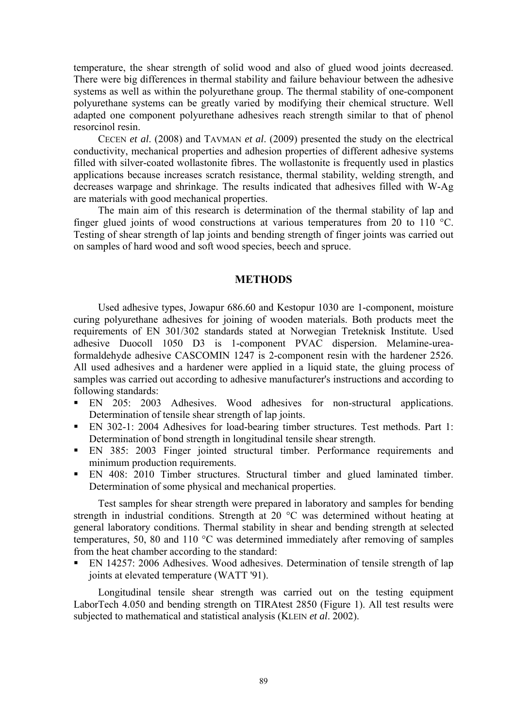temperature, the shear strength of solid wood and also of glued wood joints decreased. There were big differences in thermal stability and failure behaviour between the adhesive systems as well as within the polyurethane group. The thermal stability of one-component polyurethane systems can be greatly varied by modifying their chemical structure. Well adapted one component polyurethane adhesives reach strength similar to that of phenol resorcinol resin.

CECEN *et al*. (2008) and TAVMAN *et al*. (2009) presented the study on the electrical conductivity, mechanical properties and adhesion properties of different adhesive systems filled with silver-coated wollastonite fibres. The wollastonite is frequently used in plastics applications because increases scratch resistance, thermal stability, welding strength, and decreases warpage and shrinkage. The results indicated that adhesives filled with W-Ag are materials with good mechanical properties.

The main aim of this research is determination of the thermal stability of lap and finger glued joints of wood constructions at various temperatures from 20 to 110 °C. Testing of shear strength of lap joints and bending strength of finger joints was carried out on samples of hard wood and soft wood species, beech and spruce.

## **METHODS**

Used adhesive types, Jowapur 686.60 and Kestopur 1030 are 1-component, moisture curing polyurethane adhesives for joining of wooden materials. Both products meet the requirements of EN 301/302 standards stated at Norwegian Treteknisk Institute. Used adhesive Duocoll 1050 D3 is 1-component PVAC dispersion. Melamine-ureaformaldehyde adhesive CASCOMIN 1247 is 2-component resin with the hardener 2526. All used adhesives and a hardener were applied in a liquid state, the gluing process of samples was carried out according to adhesive manufacturer's instructions and according to following standards:

- EN 205: 2003 Adhesives. Wood adhesives for non-structural applications. Determination of tensile shear strength of lap joints.
- EN 302-1: 2004 Adhesives for load-bearing timber structures. Test methods. Part 1: Determination of bond strength in longitudinal tensile shear strength.
- EN 385: 2003 Finger jointed structural timber. Performance requirements and minimum production requirements.
- EN 408: 2010 Timber structures. Structural timber and glued laminated timber. Determination of some physical and mechanical properties.

Test samples for shear strength were prepared in laboratory and samples for bending strength in industrial conditions. Strength at 20 °C was determined without heating at general laboratory conditions. Thermal stability in shear and bending strength at selected temperatures, 50, 80 and 110 °C was determined immediately after removing of samples from the heat chamber according to the standard:

 EN 14257: 2006 Adhesives. Wood adhesives. Determination of tensile strength of lap joints at elevated temperature (WATT '91).

Longitudinal tensile shear strength was carried out on the testing equipment LaborTech 4.050 and bending strength on TIRAtest 2850 (Figure 1). All test results were subjected to mathematical and statistical analysis (KLEIN *et al*. 2002).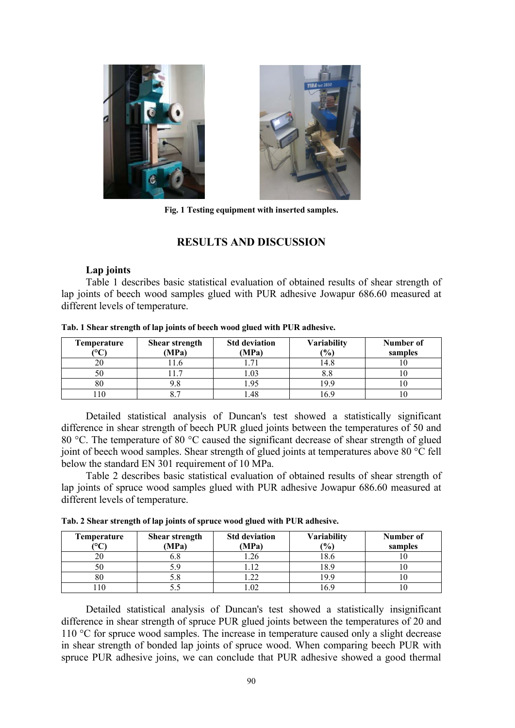



**Fig. 1 Testing equipment with inserted samples.** 

## **RESULTS AND DISCUSSION**

## **Lap joints**

Table 1 describes basic statistical evaluation of obtained results of shear strength of lap joints of beech wood samples glued with PUR adhesive Jowapur 686.60 measured at different levels of temperature.

| Temperature<br>or. | <b>Shear strength</b><br>(MPa) | <b>Std deviation</b><br>(MPa) | <b>Variability</b><br>(0/0) | Number of<br>samples |
|--------------------|--------------------------------|-------------------------------|-----------------------------|----------------------|
|                    |                                |                               | .4.8                        |                      |
| $50^{\circ}$       |                                | .03                           | ٥.٥                         |                      |
| 80                 |                                |                               | 9.9                         |                      |
|                    |                                |                               |                             |                      |

#### **Tab. 1 Shear strength of lap joints of beech wood glued with PUR adhesive.**

Detailed statistical analysis of Duncan's test showed a statistically significant difference in shear strength of beech PUR glued joints between the temperatures of 50 and 80 °C. The temperature of 80 °C caused the significant decrease of shear strength of glued joint of beech wood samples. Shear strength of glued joints at temperatures above 80 °C fell below the standard EN 301 requirement of 10 MPa.

Table 2 describes basic statistical evaluation of obtained results of shear strength of lap joints of spruce wood samples glued with PUR adhesive Jowapur 686.60 measured at different levels of temperature.

| Tab. 2 Shear strength of lap joints of spruce wood glued with PUR adhesive. |  |  |
|-----------------------------------------------------------------------------|--|--|
|                                                                             |  |  |

| Temperature<br>$\sim$ | <b>Shear strength</b><br>(MPa) | <b>Std deviation</b><br>(MPa) | <b>Variability</b><br>(0/0) | Number of<br>samples |
|-----------------------|--------------------------------|-------------------------------|-----------------------------|----------------------|
|                       |                                |                               |                             |                      |
|                       | v.o                            | .26                           | 10.U                        |                      |
|                       |                                |                               | .8.9                        |                      |
|                       |                                | າາ<br>∠∠                      | 19 Q                        |                      |
|                       |                                | .02                           |                             |                      |

Detailed statistical analysis of Duncan's test showed a statistically insignificant difference in shear strength of spruce PUR glued joints between the temperatures of 20 and 110 °C for spruce wood samples. The increase in temperature caused only a slight decrease in shear strength of bonded lap joints of spruce wood. When comparing beech PUR with spruce PUR adhesive joins, we can conclude that PUR adhesive showed a good thermal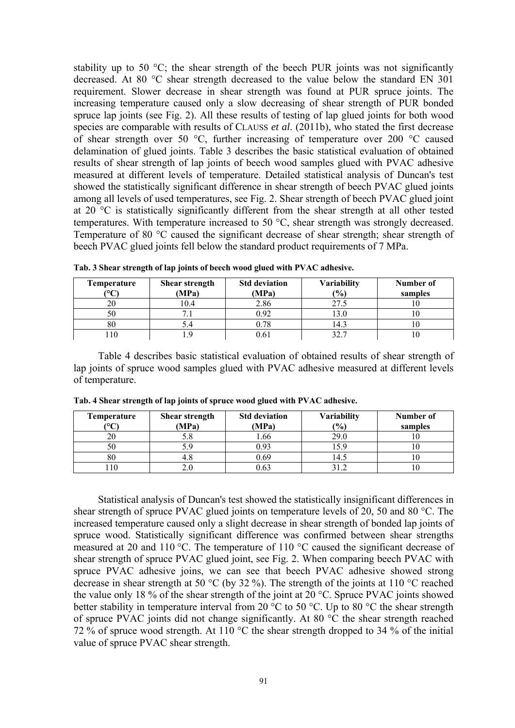stability up to 50  $^{\circ}$ C; the shear strength of the beech PUR joints was not significantly decreased. At 80 °C shear strength decreased to the value below the standard EN 301 requirement. Slower decrease in shear strength was found at PUR spruce joints. The increasing temperature caused only a slow decreasing of shear strength of PUR bonded spruce lap joints (see Fig. 2). All these results of testing of lap glued joints for both wood species are comparable with results of CLAUSS *et al*. (2011b), who stated the first decrease of shear strength over 50 °C, further increasing of temperature over 200 °C caused delamination of glued joints. Table 3 describes the basic statistical evaluation of obtained results of shear strength of lap joints of beech wood samples glued with PVAC adhesive measured at different levels of temperature. Detailed statistical analysis of Duncan's test showed the statistically significant difference in shear strength of beech PVAC glued joints among all levels of used temperatures, see Fig. 2. Shear strength of beech PVAC glued joint at 20 °C is statistically significantly different from the shear strength at all other tested temperatures. With temperature increased to 50 °C, shear strength was strongly decreased. Temperature of 80 °C caused the significant decrease of shear strength; shear strength of beech PVAC glued joints fell below the standard product requirements of 7 MPa.

| Temperature | Shear strength | <b>Std deviation</b> | <b>Variability</b> | Number of |
|-------------|----------------|----------------------|--------------------|-----------|
| $\sim$      | (MPa)          | (MPa)                | (%)                | samples   |
|             | 10.4           | 2.86                 | 27.5               |           |
|             |                | ე 92                 | $\overline{3.0}$   |           |
| 80          |                | 0.78                 | !4.3               |           |
| 10          |                |                      | າງ ສ               |           |

**Tab. 3 Shear strength of lap joints of beech wood glued with PVAC adhesive.** 

Table 4 describes basic statistical evaluation of obtained results of shear strength of lap joints of spruce wood samples glued with PVAC adhesive measured at different levels of temperature.

| Temperature<br>$\sim$ | Shear strength<br>(MPa) | <b>Std deviation</b><br>(MPa) | <b>Variability</b><br>(9/0) | Number of<br>samples |
|-----------------------|-------------------------|-------------------------------|-----------------------------|----------------------|
|                       |                         | .66                           | 29.0                        |                      |
|                       |                         |                               |                             |                      |
| 80                    | 4.0                     | ) 69                          | .4.5                        |                      |
|                       |                         |                               |                             |                      |

**Tab. 4 Shear strength of lap joints of spruce wood glued with PVAC adhesive.** 

Statistical analysis of Duncan's test showed the statistically insignificant differences in shear strength of spruce PVAC glued joints on temperature levels of 20, 50 and 80 °C. The increased temperature caused only a slight decrease in shear strength of bonded lap joints of spruce wood. Statistically significant difference was confirmed between shear strengths measured at 20 and 110 °C. The temperature of 110 °C caused the significant decrease of shear strength of spruce PVAC glued joint, see Fig. 2. When comparing beech PVAC with spruce PVAC adhesive joins, we can see that beech PVAC adhesive showed strong decrease in shear strength at 50 °C (by 32 %). The strength of the joints at 110 °C reached the value only 18 % of the shear strength of the joint at 20 °C. Spruce PVAC joints showed better stability in temperature interval from 20  $\degree$ C to 50  $\degree$ C. Up to 80  $\degree$ C the shear strength of spruce PVAC joints did not change significantly. At 80 °C the shear strength reached 72 % of spruce wood strength. At 110 °C the shear strength dropped to 34 % of the initial value of spruce PVAC shear strength.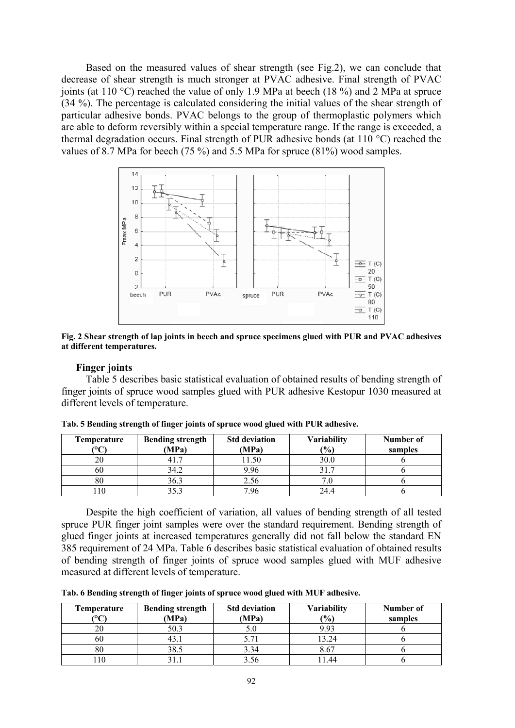Based on the measured values of shear strength (see Fig.2), we can conclude that decrease of shear strength is much stronger at PVAC adhesive. Final strength of PVAC joints (at 110 °C) reached the value of only 1.9 MPa at beech (18 %) and 2 MPa at spruce (34 %). The percentage is calculated considering the initial values of the shear strength of particular adhesive bonds. PVAC belongs to the group of thermoplastic polymers which are able to deform reversibly within a special temperature range. If the range is exceeded, a thermal degradation occurs. Final strength of PUR adhesive bonds (at 110 °C) reached the values of 8.7 MPa for beech (75 %) and 5.5 MPa for spruce (81%) wood samples.



**Fig. 2 Shear strength of lap joints in beech and spruce specimens glued with PUR and PVAC adhesives at different temperatures.** 

#### **Finger joints**

Table 5 describes basic statistical evaluation of obtained results of bending strength of finger joints of spruce wood samples glued with PUR adhesive Kestopur 1030 measured at different levels of temperature.

| Temperature<br>$\sim$ | <b>Bending strength</b> | <b>Std deviation</b> | <b>Variability</b> | Number of |
|-----------------------|-------------------------|----------------------|--------------------|-----------|
|                       | (MPa)                   | (MPa)                | $\frac{(0)}{0}$    | samples   |
|                       |                         | 1.50                 | 30.0               |           |
| 60                    | 34.2                    | 9.96                 |                    |           |
| 80                    | 36.3                    | 2.56                 |                    |           |
|                       | າ ເາ                    | 7.96                 | 24.4               |           |

**Tab. 5 Bending strength of finger joints of spruce wood glued with PUR adhesive.** 

Despite the high coefficient of variation, all values of bending strength of all tested spruce PUR finger joint samples were over the standard requirement. Bending strength of glued finger joints at increased temperatures generally did not fall below the standard EN 385 requirement of 24 MPa. Table 6 describes basic statistical evaluation of obtained results of bending strength of finger joints of spruce wood samples glued with MUF adhesive measured at different levels of temperature.

**Tab. 6 Bending strength of finger joints of spruce wood glued with MUF adhesive.** 

| <b>Temperature</b><br>$\mathcal{C}$ | <b>Bending strength</b><br>(MPa) | <b>Std deviation</b><br>(MPa) | <b>Variability</b><br>(0/0) | Number of<br>samples |
|-------------------------------------|----------------------------------|-------------------------------|-----------------------------|----------------------|
|                                     | 50.3                             |                               | 993                         |                      |
| ov                                  | 7. J                             |                               | 13.24                       |                      |
|                                     | 38.5                             | 3.34                          | 8.67                        |                      |
|                                     |                                  |                               | 144                         |                      |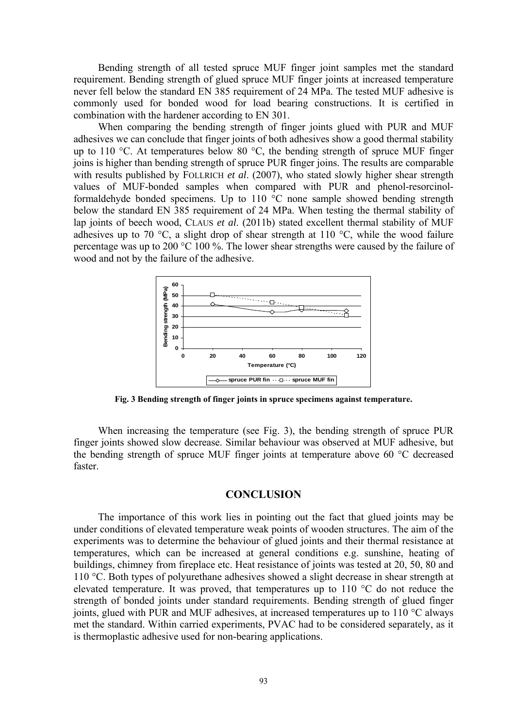Bending strength of all tested spruce MUF finger joint samples met the standard requirement. Bending strength of glued spruce MUF finger joints at increased temperature never fell below the standard EN 385 requirement of 24 MPa. The tested MUF adhesive is commonly used for bonded wood for load bearing constructions. It is certified in combination with the hardener according to EN 301.

When comparing the bending strength of finger joints glued with PUR and MUF adhesives we can conclude that finger joints of both adhesives show a good thermal stability up to 110 °C. At temperatures below 80 °C, the bending strength of spruce MUF finger joins is higher than bending strength of spruce PUR finger joins. The results are comparable with results published by FOLLRICH *et al.* (2007), who stated slowly higher shear strength values of MUF-bonded samples when compared with PUR and phenol-resorcinolformaldehyde bonded specimens. Up to 110 °C none sample showed bending strength below the standard EN 385 requirement of 24 MPa. When testing the thermal stability of lap joints of beech wood, CLAUS *et al*. (2011b) stated excellent thermal stability of MUF adhesives up to 70 °C, a slight drop of shear strength at 110 °C, while the wood failure percentage was up to 200 °C 100 %. The lower shear strengths were caused by the failure of wood and not by the failure of the adhesive.



**Fig. 3 Bending strength of finger joints in spruce specimens against temperature.** 

When increasing the temperature (see Fig. 3), the bending strength of spruce PUR finger joints showed slow decrease. Similar behaviour was observed at MUF adhesive, but the bending strength of spruce MUF finger joints at temperature above 60 °C decreased faster.

### **CONCLUSION**

The importance of this work lies in pointing out the fact that glued joints may be under conditions of elevated temperature weak points of wooden structures. The aim of the experiments was to determine the behaviour of glued joints and their thermal resistance at temperatures, which can be increased at general conditions e.g. sunshine, heating of buildings, chimney from fireplace etc. Heat resistance of joints was tested at 20, 50, 80 and 110 °C. Both types of polyurethane adhesives showed a slight decrease in shear strength at elevated temperature. It was proved, that temperatures up to 110 °C do not reduce the strength of bonded joints under standard requirements. Bending strength of glued finger joints, glued with PUR and MUF adhesives, at increased temperatures up to 110 °C always met the standard. Within carried experiments, PVAC had to be considered separately, as it is thermoplastic adhesive used for non-bearing applications.